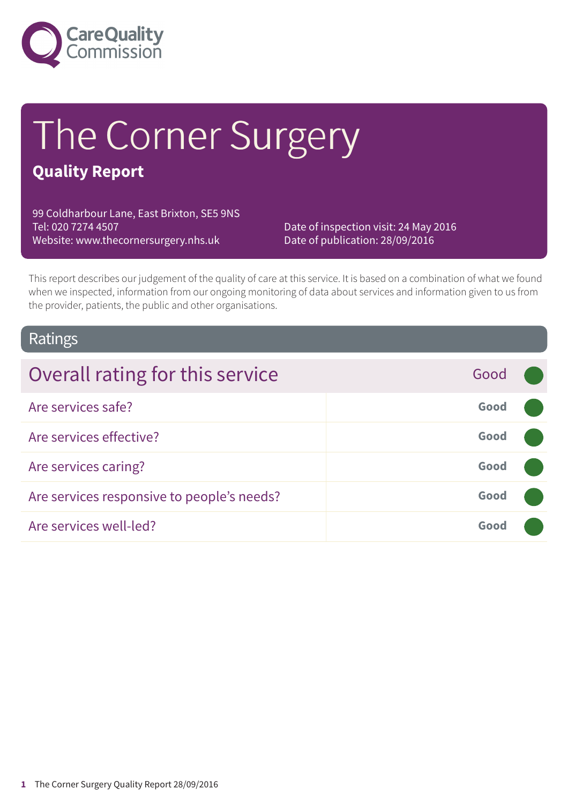

# The Corner Surgery

### **Quality Report**

99 Coldharbour Lane, East Brixton, SE5 9NS Tel: 020 7274 4507 Website: www.thecornersurgery.nhs.uk

Date of inspection visit: 24 May 2016 Date of publication: 28/09/2016

This report describes our judgement of the quality of care at this service. It is based on a combination of what we found when we inspected, information from our ongoing monitoring of data about services and information given to us from the provider, patients, the public and other organisations.

### Ratings

| Overall rating for this service<br>Good            |  |
|----------------------------------------------------|--|
| Good<br>Are services safe?                         |  |
| Are services effective?<br>Good                    |  |
| Are services caring?<br>Good                       |  |
| Are services responsive to people's needs?<br>Good |  |
| Are services well-led?<br>Good                     |  |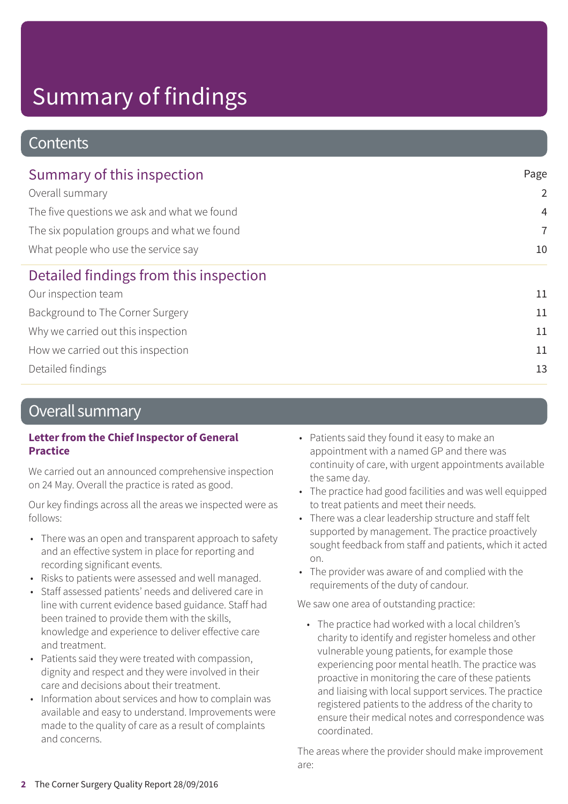### **Contents**

| Summary of this inspection                                                         | Page           |
|------------------------------------------------------------------------------------|----------------|
| Overall summary                                                                    | $\overline{2}$ |
| The five questions we ask and what we found                                        | $\overline{4}$ |
| The six population groups and what we found<br>What people who use the service say | $\overline{7}$ |
|                                                                                    | 10             |
| Detailed findings from this inspection                                             |                |
| Our inspection team                                                                | 11             |
| Background to The Corner Surgery                                                   | 11             |
| Why we carried out this inspection                                                 | 11             |
| How we carried out this inspection                                                 | 11             |
| Detailed findings                                                                  | 13             |
|                                                                                    |                |

### Overall summary

#### **Letter from the Chief Inspector of General Practice**

We carried out an announced comprehensive inspection on 24 May. Overall the practice is rated as good.

Our key findings across all the areas we inspected were as follows:

- There was an open and transparent approach to safety and an effective system in place for reporting and recording significant events.
- Risks to patients were assessed and well managed.
- Staff assessed patients' needs and delivered care in line with current evidence based guidance. Staff had been trained to provide them with the skills, knowledge and experience to deliver effective care and treatment.
- Patients said they were treated with compassion, dignity and respect and they were involved in their care and decisions about their treatment.
- Information about services and how to complain was available and easy to understand. Improvements were made to the quality of care as a result of complaints and concerns.
- Patients said they found it easy to make an appointment with a named GP and there was continuity of care, with urgent appointments available the same day.
- The practice had good facilities and was well equipped to treat patients and meet their needs.
- There was a clear leadership structure and staff felt supported by management. The practice proactively sought feedback from staff and patients, which it acted on.
- The provider was aware of and complied with the requirements of the duty of candour.

We saw one area of outstanding practice:

• The practice had worked with a local children's charity to identify and register homeless and other vulnerable young patients, for example those experiencing poor mental heatlh. The practice was proactive in monitoring the care of these patients and liaising with local support services. The practice registered patients to the address of the charity to ensure their medical notes and correspondence was coordinated.

The areas where the provider should make improvement are: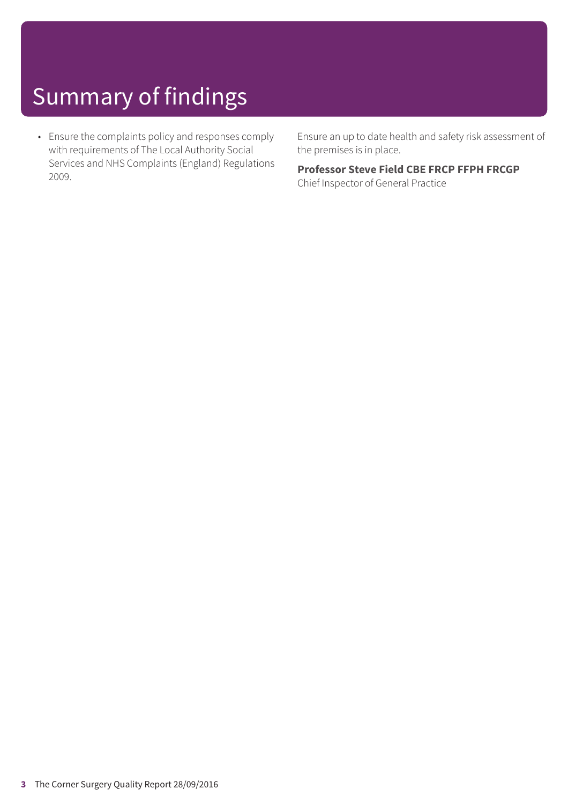• Ensure the complaints policy and responses comply with requirements of The Local Authority Social Services and NHS Complaints (England) Regulations 2009.

Ensure an up to date health and safety risk assessment of the premises is in place.

#### **Professor Steve Field CBE FRCP FFPH FRCGP**

Chief Inspector of General Practice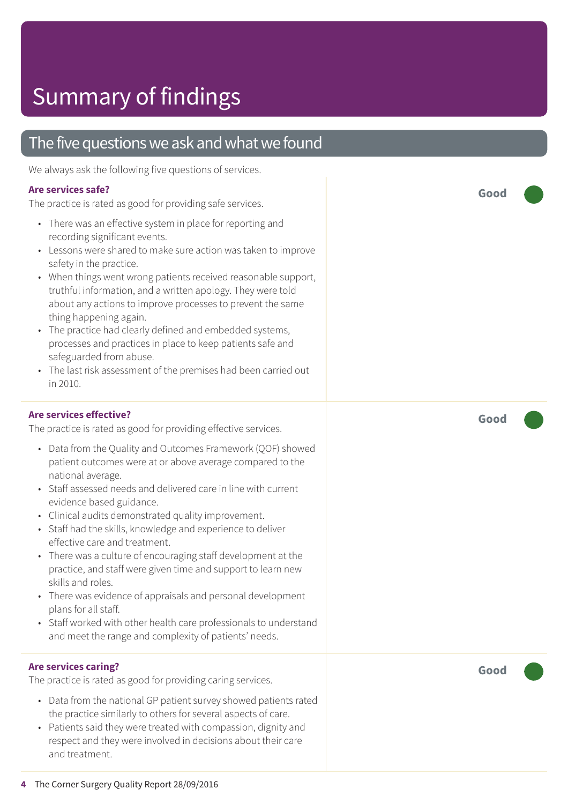### The five questions we ask and what we found

We always ask the following five questions of services.

#### **Are services safe?**

The practice is rated as good for providing safe services.

- There was an effective system in place for reporting and recording significant events.
- Lessons were shared to make sure action was taken to improve safety in the practice.
- When things went wrong patients received reasonable support, truthful information, and a written apology. They were told about any actions to improve processes to prevent the same thing happening again.
- The practice had clearly defined and embedded systems, processes and practices in place to keep patients safe and safeguarded from abuse.
- The last risk assessment of the premises had been carried out in 2010.

#### **Are services effective?**

The practice is rated as good for providing effective services.

- Data from the Quality and Outcomes Framework (QOF) showed patient outcomes were at or above average compared to the national average.
- Staff assessed needs and delivered care in line with current evidence based guidance.
- Clinical audits demonstrated quality improvement.
- Staff had the skills, knowledge and experience to deliver effective care and treatment.
- There was a culture of encouraging staff development at the practice, and staff were given time and support to learn new skills and roles.
- There was evidence of appraisals and personal development plans for all staff.
- Staff worked with other health care professionals to understand and meet the range and complexity of patients' needs.

#### **Are services caring?**

The practice is rated as good for providing caring services.

- Data from the national GP patient survey showed patients rated the practice similarly to others for several aspects of care.
- Patients said they were treated with compassion, dignity and respect and they were involved in decisions about their care and treatment.

**Good –––**

**Good –––**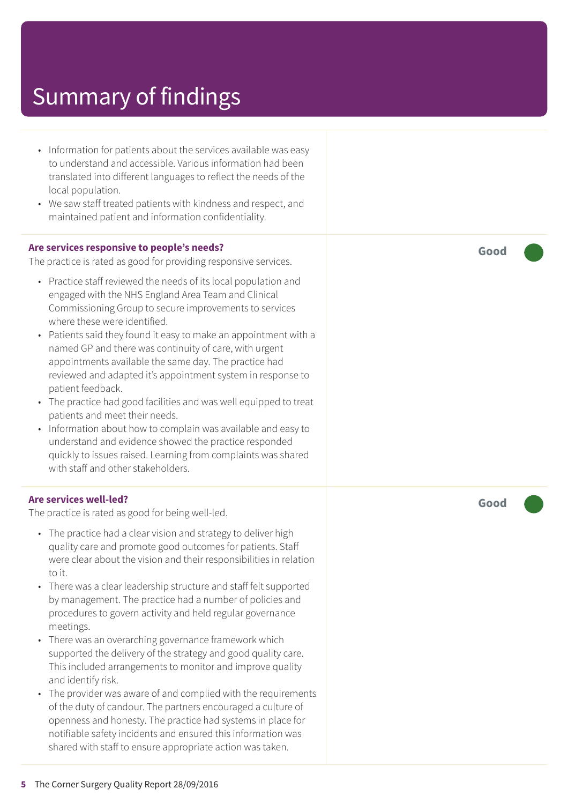- Information for patients about the services available was easy to understand and accessible. Various information had been translated into different languages to reflect the needs of the local population.
- We saw staff treated patients with kindness and respect, and maintained patient and information confidentiality.

#### **Are services responsive to people's needs?**

The practice is rated as good for providing responsive services.

- Practice staff reviewed the needs of its local population and engaged with the NHS England Area Team and Clinical Commissioning Group to secure improvements to services where these were identified.
- Patients said they found it easy to make an appointment with a named GP and there was continuity of care, with urgent appointments available the same day. The practice had reviewed and adapted it's appointment system in response to patient feedback.
- The practice had good facilities and was well equipped to treat patients and meet their needs.
- Information about how to complain was available and easy to understand and evidence showed the practice responded quickly to issues raised. Learning from complaints was shared with staff and other stakeholders.

#### **Are services well-led?**

The practice is rated as good for being well-led.

- The practice had a clear vision and strategy to deliver high quality care and promote good outcomes for patients. Staff were clear about the vision and their responsibilities in relation to it.
- There was a clear leadership structure and staff felt supported by management. The practice had a number of policies and procedures to govern activity and held regular governance meetings.
- There was an overarching governance framework which supported the delivery of the strategy and good quality care. This included arrangements to monitor and improve quality and identify risk.
- The provider was aware of and complied with the requirements of the duty of candour. The partners encouraged a culture of openness and honesty. The practice had systems in place for notifiable safety incidents and ensured this information was shared with staff to ensure appropriate action was taken.

**Good –––**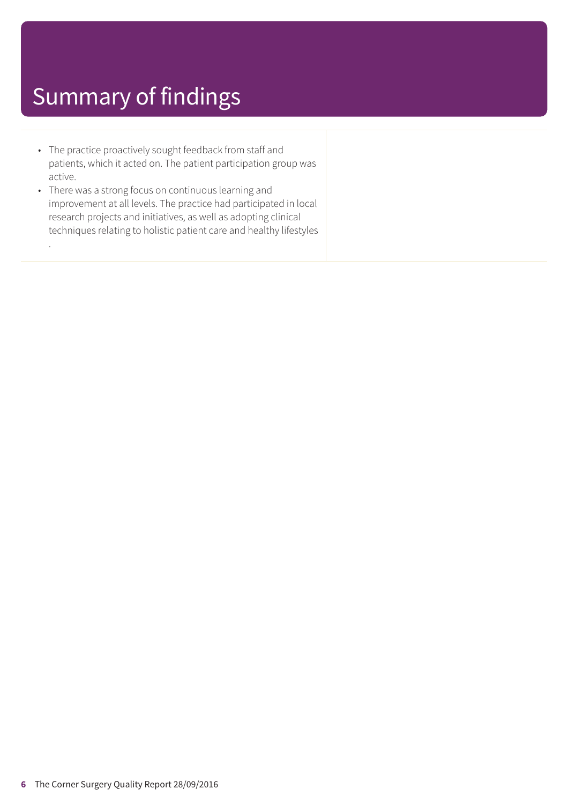.

- The practice proactively sought feedback from staff and patients, which it acted on. The patient participation group was active.
- There was a strong focus on continuous learning and improvement at all levels. The practice had participated in local research projects and initiatives, as well as adopting clinical techniques relating to holistic patient care and healthy lifestyles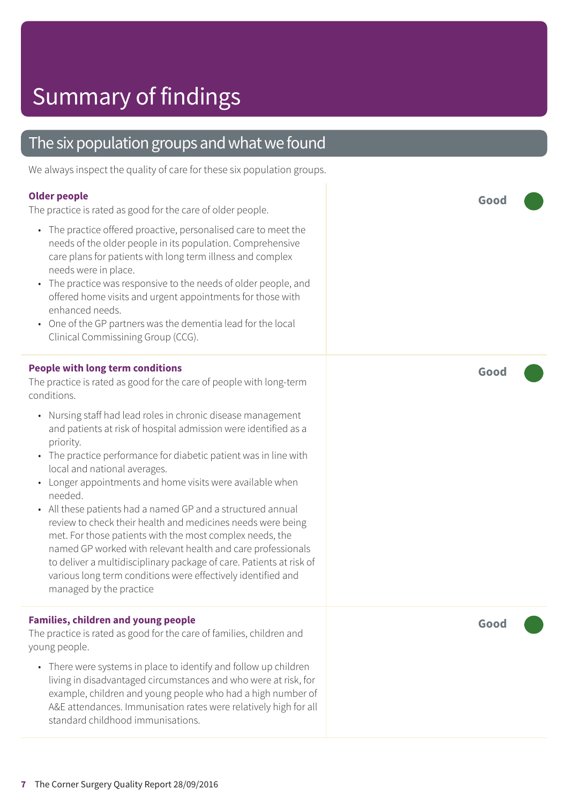### The six population groups and what we found

We always inspect the quality of care for these six population groups.

#### **Older people**

The practice is rated as good for the care of older people.

- The practice offered proactive, personalised care to meet the needs of the older people in its population. Comprehensive care plans for patients with long term illness and complex needs were in place.
- The practice was responsive to the needs of older people, and offered home visits and urgent appointments for those with enhanced needs.
- One of the GP partners was the dementia lead for the local Clinical Commissining Group (CCG).

#### **People with long term conditions**

The practice is rated as good for the care of people with long-term conditions.

- Nursing staff had lead roles in chronic disease management and patients at risk of hospital admission were identified as a priority.
- The practice performance for diabetic patient was in line with local and national averages.
- Longer appointments and home visits were available when needed.
- All these patients had a named GP and a structured annual review to check their health and medicines needs were being met. For those patients with the most complex needs, the named GP worked with relevant health and care professionals to deliver a multidisciplinary package of care. Patients at risk of various long term conditions were effectively identified and managed by the practice

#### **Families, children and young people**

The practice is rated as good for the care of families, children and young people.

• There were systems in place to identify and follow up children living in disadvantaged circumstances and who were at risk, for example, children and young people who had a high number of A&E attendances. Immunisation rates were relatively high for all standard childhood immunisations.

**Good –––**

**Good –––**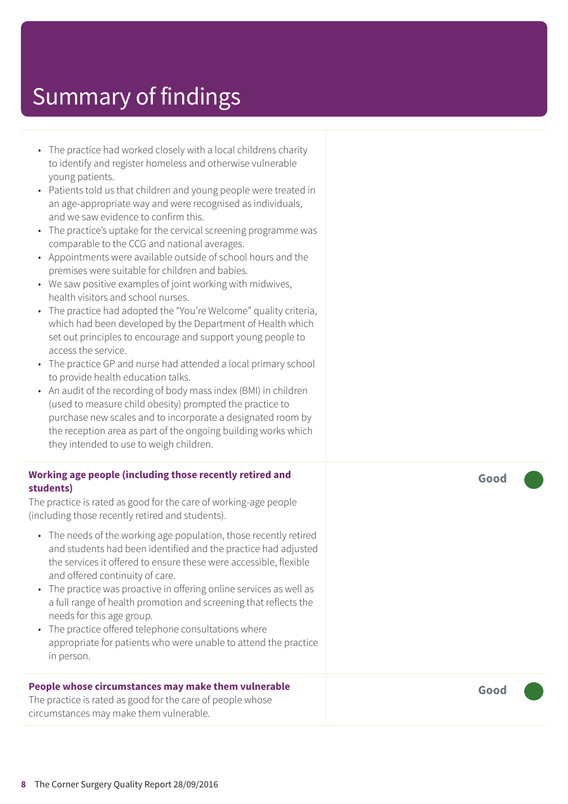- The practice had worked closely with a local childrens charity to identify and register homeless and otherwise vulnerable young patients.
- Patients told us that children and young people were treated in an age-appropriate way and were recognised as individuals, and we saw evidence to confirm this.
- The practice's uptake for the cervical screening programme was comparable to the CCG and national averages.
- Appointments were available outside of school hours and the premises were suitable for children and babies.
- We saw positive examples of joint working with midwives, health visitors and school nurses.
- The practice had adopted the "You're Welcome" quality criteria, which had been developed by the Department of Health which set out principles to encourage and support young people to access the service.
- The practice GP and nurse had attended a local primary school to provide health education talks.
- An audit of the recording of body mass index (BMI) in children (used to measure child obesity) prompted the practice to purchase new scales and to incorporate a designated room by the reception area as part of the ongoing building works which they intended to use to weigh children.

#### **Working age people (including those recently retired and students)**

The practice is rated as good for the care of working-age people (including those recently retired and students).

- The needs of the working age population, those recently retired and students had been identified and the practice had adjusted the services it offered to ensure these were accessible, flexible and offered continuity of care.
- The practice was proactive in offering online services as well as a full range of health promotion and screening that reflects the needs for this age group.
- The practice offered telephone consultations where appropriate for patients who were unable to attend the practice in person.

#### **People whose circumstances may make them vulnerable**

The practice is rated as good for the care of people whose circumstances may make them vulnerable.

**Good –––**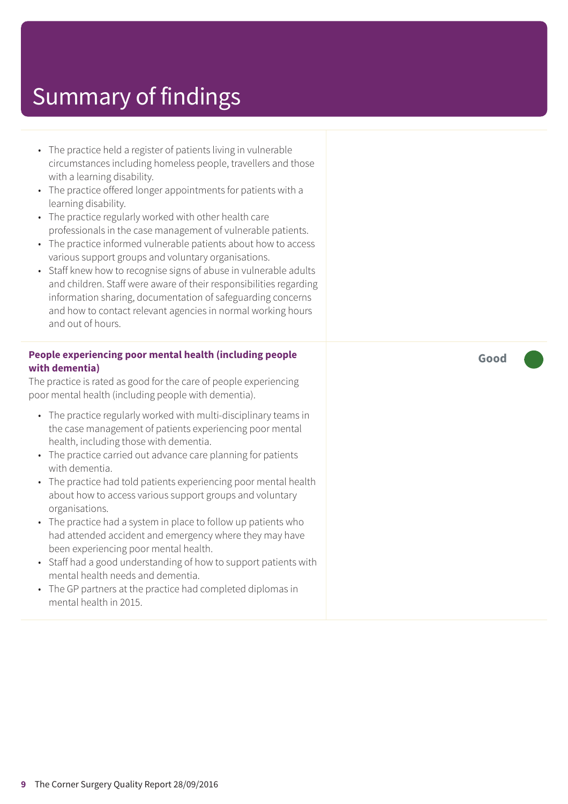- The practice held a register of patients living in vulnerable circumstances including homeless people, travellers and those with a learning disability.
- The practice offered longer appointments for patients with a learning disability.
- The practice regularly worked with other health care professionals in the case management of vulnerable patients.
- The practice informed vulnerable patients about how to access various support groups and voluntary organisations.
- Staff knew how to recognise signs of abuse in vulnerable adults and children. Staff were aware of their responsibilities regarding information sharing, documentation of safeguarding concerns and how to contact relevant agencies in normal working hours and out of hours.

#### **People experiencing poor mental health (including people with dementia)**

The practice is rated as good for the care of people experiencing poor mental health (including people with dementia).

- The practice regularly worked with multi-disciplinary teams in the case management of patients experiencing poor mental health, including those with dementia.
- The practice carried out advance care planning for patients with dementia.
- The practice had told patients experiencing poor mental health about how to access various support groups and voluntary organisations.
- The practice had a system in place to follow up patients who had attended accident and emergency where they may have been experiencing poor mental health.
- Staff had a good understanding of how to support patients with mental health needs and dementia.
- The GP partners at the practice had completed diplomas in mental health in 2015.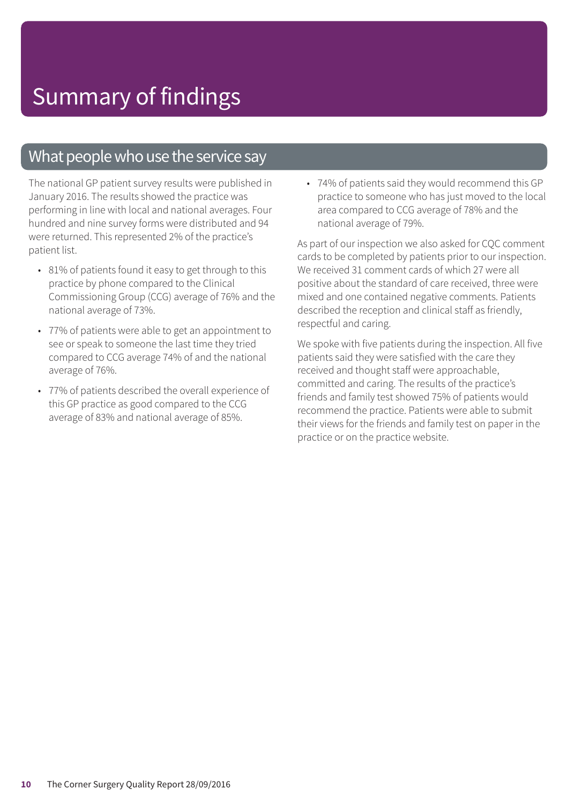### What people who use the service say

The national GP patient survey results were published in January 2016. The results showed the practice was performing in line with local and national averages. Four hundred and nine survey forms were distributed and 94 were returned. This represented 2% of the practice's patient list.

- 81% of patients found it easy to get through to this practice by phone compared to the Clinical Commissioning Group (CCG) average of 76% and the national average of 73%.
- 77% of patients were able to get an appointment to see or speak to someone the last time they tried compared to CCG average 74% of and the national average of 76%.
- 77% of patients described the overall experience of this GP practice as good compared to the CCG average of 83% and national average of 85%.

• 74% of patients said they would recommend this GP practice to someone who has just moved to the local area compared to CCG average of 78% and the national average of 79%.

As part of our inspection we also asked for CQC comment cards to be completed by patients prior to our inspection. We received 31 comment cards of which 27 were all positive about the standard of care received, three were mixed and one contained negative comments. Patients described the reception and clinical staff as friendly, respectful and caring.

We spoke with five patients during the inspection. All five patients said they were satisfied with the care they received and thought staff were approachable, committed and caring. The results of the practice's friends and family test showed 75% of patients would recommend the practice. Patients were able to submit their views for the friends and family test on paper in the practice or on the practice website.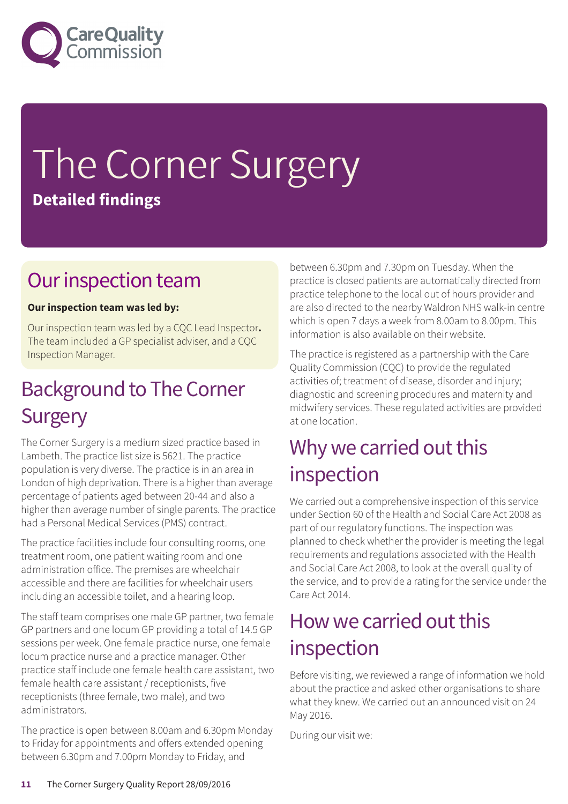

# The Corner Surgery **Detailed findings**

### Our inspection team

#### **Our inspection team was led by:**

Our inspection team was led by a CQC Lead Inspector**.** The team included a GP specialist adviser, and a CQC Inspection Manager.

### **Background to The Corner Surgery**

The Corner Surgery is a medium sized practice based in Lambeth. The practice list size is 5621. The practice population is very diverse. The practice is in an area in London of high deprivation. There is a higher than average percentage of patients aged between 20-44 and also a higher than average number of single parents. The practice had a Personal Medical Services (PMS) contract.

The practice facilities include four consulting rooms, one treatment room, one patient waiting room and one administration office. The premises are wheelchair accessible and there are facilities for wheelchair users including an accessible toilet, and a hearing loop.

The staff team comprises one male GP partner, two female GP partners and one locum GP providing a total of 14.5 GP sessions per week. One female practice nurse, one female locum practice nurse and a practice manager. Other practice staff include one female health care assistant, two female health care assistant / receptionists, five receptionists (three female, two male), and two administrators.

The practice is open between 8.00am and 6.30pm Monday to Friday for appointments and offers extended opening between 6.30pm and 7.00pm Monday to Friday, and

between 6.30pm and 7.30pm on Tuesday. When the practice is closed patients are automatically directed from practice telephone to the local out of hours provider and are also directed to the nearby Waldron NHS walk-in centre which is open 7 days a week from 8.00am to 8.00pm. This information is also available on their website.

The practice is registered as a partnership with the Care Quality Commission (CQC) to provide the regulated activities of; treatment of disease, disorder and injury; diagnostic and screening procedures and maternity and midwifery services. These regulated activities are provided at one location.

### Why we carried out this inspection

We carried out a comprehensive inspection of this service under Section 60 of the Health and Social Care Act 2008 as part of our regulatory functions. The inspection was planned to check whether the provider is meeting the legal requirements and regulations associated with the Health and Social Care Act 2008, to look at the overall quality of the service, and to provide a rating for the service under the Care Act 2014.

### How we carried out this inspection

Before visiting, we reviewed a range of information we hold about the practice and asked other organisations to share what they knew. We carried out an announced visit on 24 May 2016.

During our visit we: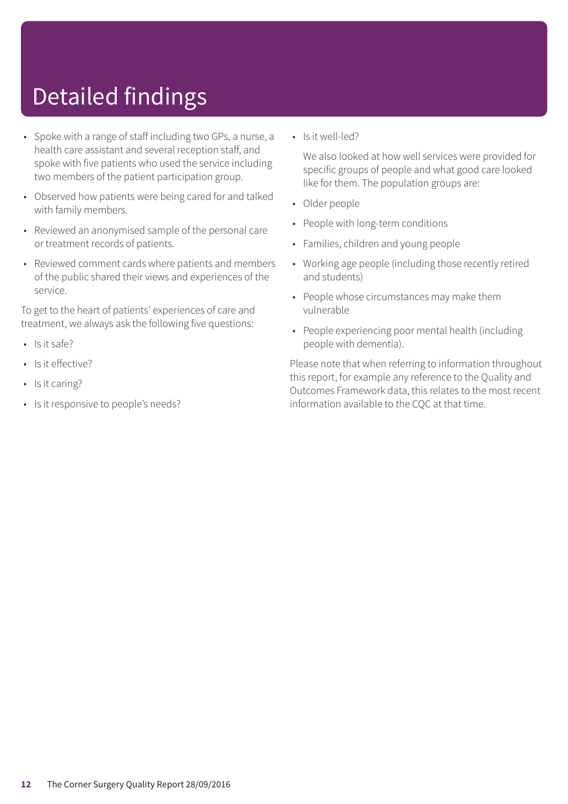# Detailed findings

- Spoke with a range of staff including two GPs, a nurse, a health care assistant and several reception staff, and spoke with five patients who used the service including two members of the patient participation group.
- Observed how patients were being cared for and talked with family members.
- Reviewed an anonymised sample of the personal care or treatment records of patients.
- Reviewed comment cards where patients and members of the public shared their views and experiences of the service.

To get to the heart of patients' experiences of care and treatment, we always ask the following five questions:

- $\cdot$  Is it safe?
- Is it effective?
- Is it caring?
- Is it responsive to people's needs?

• Is it well-led?

We also looked at how well services were provided for specific groups of people and what good care looked like for them. The population groups are:

- Older people
- People with long-term conditions
- Families, children and young people
- Working age people (including those recently retired and students)
- People whose circumstances may make them vulnerable
- People experiencing poor mental health (including people with dementia).

Please note that when referring to information throughout this report, for example any reference to the Quality and Outcomes Framework data, this relates to the most recent information available to the CQC at that time.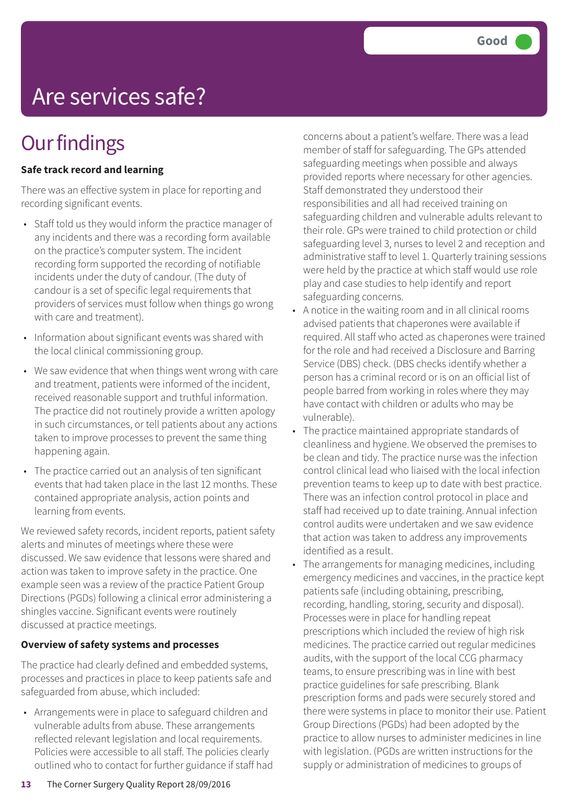# Are services safe?

### **Our findings**

#### **Safe track record and learning**

There was an effective system in place for reporting and recording significant events.

- Staff told us they would inform the practice manager of any incidents and there was a recording form available on the practice's computer system. The incident recording form supported the recording of notifiable incidents under the duty of candour. (The duty of candour is a set of specific legal requirements that providers of services must follow when things go wrong with care and treatment).
- Information about significant events was shared with the local clinical commissioning group.
- We saw evidence that when things went wrong with care and treatment, patients were informed of the incident, received reasonable support and truthful information. The practice did not routinely provide a written apology in such circumstances, or tell patients about any actions taken to improve processes to prevent the same thing happening again.
- The practice carried out an analysis of ten significant events that had taken place in the last 12 months. These contained appropriate analysis, action points and learning from events.

We reviewed safety records, incident reports, patient safety alerts and minutes of meetings where these were discussed. We saw evidence that lessons were shared and action was taken to improve safety in the practice. One example seen was a review of the practice Patient Group Directions (PGDs) following a clinical error administering a shingles vaccine. Significant events were routinely discussed at practice meetings.

#### **Overview of safety systems and processes**

The practice had clearly defined and embedded systems, processes and practices in place to keep patients safe and safeguarded from abuse, which included:

• Arrangements were in place to safeguard children and vulnerable adults from abuse. These arrangements reflected relevant legislation and local requirements. Policies were accessible to all staff. The policies clearly outlined who to contact for further guidance if staff had concerns about a patient's welfare. There was a lead member of staff for safeguarding. The GPs attended safeguarding meetings when possible and always provided reports where necessary for other agencies. Staff demonstrated they understood their responsibilities and all had received training on safeguarding children and vulnerable adults relevant to their role. GPs were trained to child protection or child safeguarding level 3, nurses to level 2 and reception and administrative staff to level 1. Quarterly training sessions were held by the practice at which staff would use role play and case studies to help identify and report safeguarding concerns.

- A notice in the waiting room and in all clinical rooms advised patients that chaperones were available if required. All staff who acted as chaperones were trained for the role and had received a Disclosure and Barring Service (DBS) check. (DBS checks identify whether a person has a criminal record or is on an official list of people barred from working in roles where they may have contact with children or adults who may be vulnerable).
- The practice maintained appropriate standards of cleanliness and hygiene. We observed the premises to be clean and tidy. The practice nurse was the infection control clinical lead who liaised with the local infection prevention teams to keep up to date with best practice. There was an infection control protocol in place and staff had received up to date training. Annual infection control audits were undertaken and we saw evidence that action was taken to address any improvements identified as a result.
- The arrangements for managing medicines, including emergency medicines and vaccines, in the practice kept patients safe (including obtaining, prescribing, recording, handling, storing, security and disposal). Processes were in place for handling repeat prescriptions which included the review of high risk medicines. The practice carried out regular medicines audits, with the support of the local CCG pharmacy teams, to ensure prescribing was in line with best practice guidelines for safe prescribing. Blank prescription forms and pads were securely stored and there were systems in place to monitor their use. Patient Group Directions (PGDs) had been adopted by the practice to allow nurses to administer medicines in line with legislation. (PGDs are written instructions for the supply or administration of medicines to groups of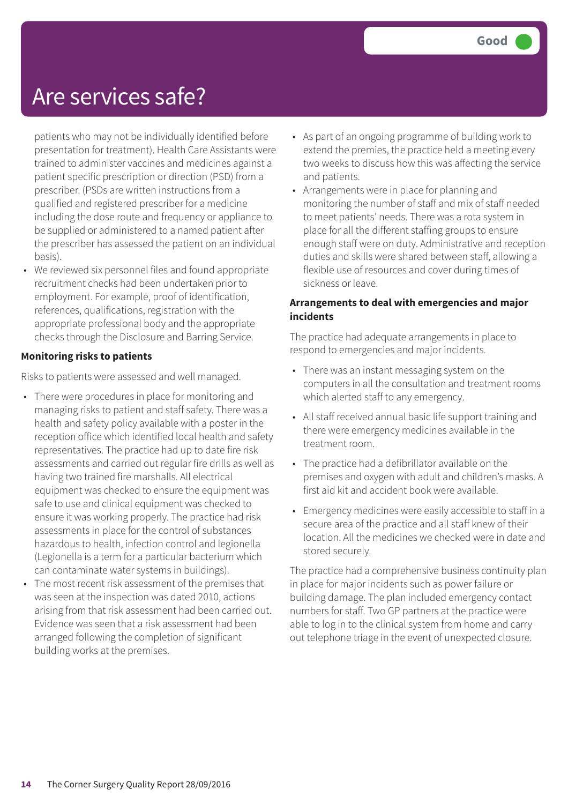### Are services safe?

patients who may not be individually identified before presentation for treatment). Health Care Assistants were trained to administer vaccines and medicines against a patient specific prescription or direction (PSD) from a prescriber. (PSDs are written instructions from a qualified and registered prescriber for a medicine including the dose route and frequency or appliance to be supplied or administered to a named patient after the prescriber has assessed the patient on an individual basis).

• We reviewed six personnel files and found appropriate recruitment checks had been undertaken prior to employment. For example, proof of identification, references, qualifications, registration with the appropriate professional body and the appropriate checks through the Disclosure and Barring Service.

#### **Monitoring risks to patients**

Risks to patients were assessed and well managed.

- There were procedures in place for monitoring and managing risks to patient and staff safety. There was a health and safety policy available with a poster in the reception office which identified local health and safety representatives. The practice had up to date fire risk assessments and carried out regular fire drills as well as having two trained fire marshalls. All electrical equipment was checked to ensure the equipment was safe to use and clinical equipment was checked to ensure it was working properly. The practice had risk assessments in place for the control of substances hazardous to health, infection control and legionella (Legionella is a term for a particular bacterium which can contaminate water systems in buildings).
- The most recent risk assessment of the premises that was seen at the inspection was dated 2010, actions arising from that risk assessment had been carried out. Evidence was seen that a risk assessment had been arranged following the completion of significant building works at the premises.
- As part of an ongoing programme of building work to extend the premies, the practice held a meeting every two weeks to discuss how this was affecting the service and patients.
- Arrangements were in place for planning and monitoring the number of staff and mix of staff needed to meet patients' needs. There was a rota system in place for all the different staffing groups to ensure enough staff were on duty. Administrative and reception duties and skills were shared between staff, allowing a flexible use of resources and cover during times of sickness or leave.

#### **Arrangements to deal with emergencies and major incidents**

The practice had adequate arrangements in place to respond to emergencies and major incidents.

- There was an instant messaging system on the computers in all the consultation and treatment rooms which alerted staff to any emergency.
- All staff received annual basic life support training and there were emergency medicines available in the treatment room.
- The practice had a defibrillator available on the premises and oxygen with adult and children's masks. A first aid kit and accident book were available.
- Emergency medicines were easily accessible to staff in a secure area of the practice and all staff knew of their location. All the medicines we checked were in date and stored securely.

The practice had a comprehensive business continuity plan in place for major incidents such as power failure or building damage. The plan included emergency contact numbers for staff. Two GP partners at the practice were able to log in to the clinical system from home and carry out telephone triage in the event of unexpected closure.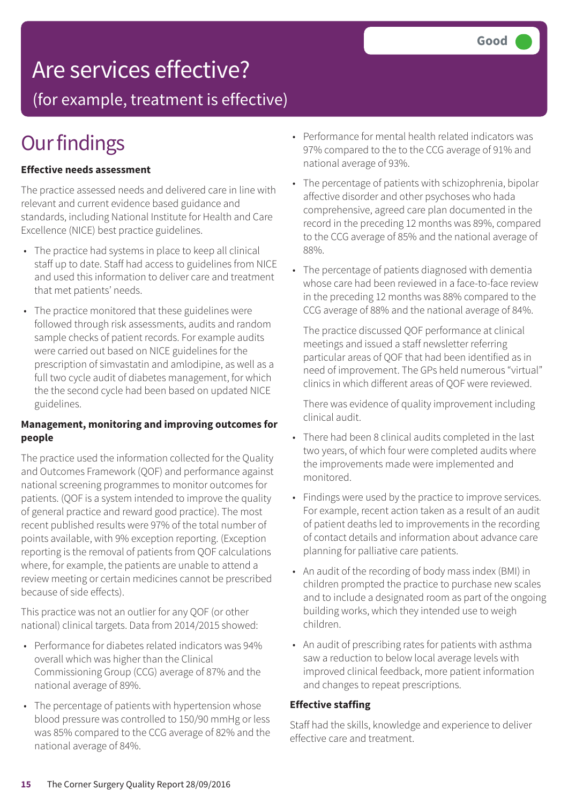### Are services effective?

(for example, treatment is effective)

### **Our findings**

#### **Effective needs assessment**

The practice assessed needs and delivered care in line with relevant and current evidence based guidance and standards, including National Institute for Health and Care Excellence (NICE) best practice guidelines.

- The practice had systems in place to keep all clinical staff up to date. Staff had access to guidelines from NICE and used this information to deliver care and treatment that met patients' needs.
- The practice monitored that these guidelines were followed through risk assessments, audits and random sample checks of patient records. For example audits were carried out based on NICE guidelines for the prescription of simvastatin and amlodipine, as well as a full two cycle audit of diabetes management, for which the the second cycle had been based on updated NICE guidelines.

#### **Management, monitoring and improving outcomes for people**

The practice used the information collected for the Quality and Outcomes Framework (QOF) and performance against national screening programmes to monitor outcomes for patients. (QOF is a system intended to improve the quality of general practice and reward good practice). The most recent published results were 97% of the total number of points available, with 9% exception reporting. (Exception reporting is the removal of patients from QOF calculations where, for example, the patients are unable to attend a review meeting or certain medicines cannot be prescribed because of side effects).

This practice was not an outlier for any QOF (or other national) clinical targets. Data from 2014/2015 showed:

- Performance for diabetes related indicators was 94% overall which was higher than the Clinical Commissioning Group (CCG) average of 87% and the national average of 89%.
- The percentage of patients with hypertension whose blood pressure was controlled to 150/90 mmHg or less was 85% compared to the CCG average of 82% and the national average of 84%.
- Performance for mental health related indicators was 97% compared to the to the CCG average of 91% and national average of 93%.
- The percentage of patients with schizophrenia, bipolar affective disorder and other psychoses who hada comprehensive, agreed care plan documented in the record in the preceding 12 months was 89%, compared to the CCG average of 85% and the national average of 88%.
- The percentage of patients diagnosed with dementia whose care had been reviewed in a face-to-face review in the preceding 12 months was 88% compared to the CCG average of 88% and the national average of 84%.

The practice discussed QOF performance at clinical meetings and issued a staff newsletter referring particular areas of QOF that had been identified as in need of improvement. The GPs held numerous "virtual" clinics in which different areas of QOF were reviewed.

There was evidence of quality improvement including clinical audit.

- There had been 8 clinical audits completed in the last two years, of which four were completed audits where the improvements made were implemented and monitored.
- Findings were used by the practice to improve services. For example, recent action taken as a result of an audit of patient deaths led to improvements in the recording of contact details and information about advance care planning for palliative care patients.
- An audit of the recording of body mass index (BMI) in children prompted the practice to purchase new scales and to include a designated room as part of the ongoing building works, which they intended use to weigh children.
- An audit of prescribing rates for patients with asthma saw a reduction to below local average levels with improved clinical feedback, more patient information and changes to repeat prescriptions.

#### **Effective staffing**

Staff had the skills, knowledge and experience to deliver effective care and treatment.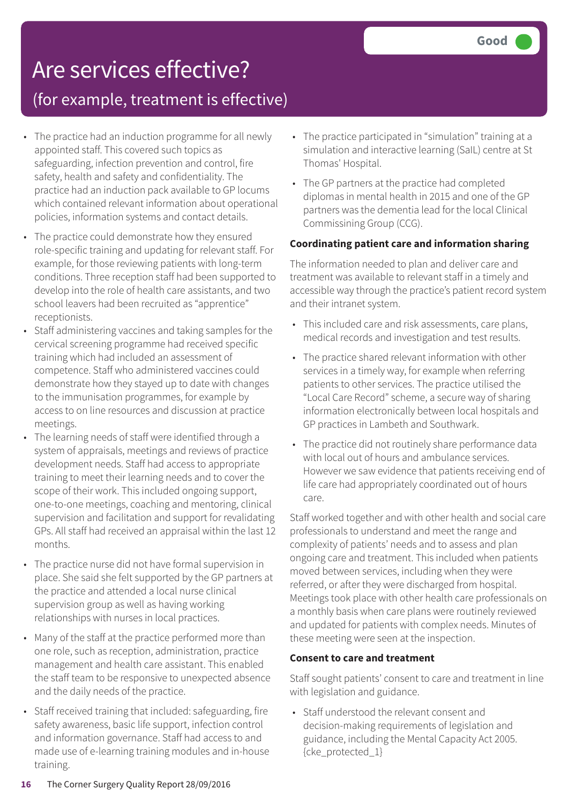### Are services effective?

### (for example, treatment is effective)

- The practice had an induction programme for all newly appointed staff. This covered such topics as safeguarding, infection prevention and control, fire safety, health and safety and confidentiality. The practice had an induction pack available to GP locums which contained relevant information about operational policies, information systems and contact details.
- The practice could demonstrate how they ensured role-specific training and updating for relevant staff. For example, for those reviewing patients with long-term conditions. Three reception staff had been supported to develop into the role of health care assistants, and two school leavers had been recruited as "apprentice" receptionists.
- Staff administering vaccines and taking samples for the cervical screening programme had received specific training which had included an assessment of competence. Staff who administered vaccines could demonstrate how they stayed up to date with changes to the immunisation programmes, for example by access to on line resources and discussion at practice meetings.
- The learning needs of staff were identified through a system of appraisals, meetings and reviews of practice development needs. Staff had access to appropriate training to meet their learning needs and to cover the scope of their work. This included ongoing support, one-to-one meetings, coaching and mentoring, clinical supervision and facilitation and support for revalidating GPs. All staff had received an appraisal within the last 12 months.
- The practice nurse did not have formal supervision in place. She said she felt supported by the GP partners at the practice and attended a local nurse clinical supervision group as well as having working relationships with nurses in local practices.
- Many of the staff at the practice performed more than one role, such as reception, administration, practice management and health care assistant. This enabled the staff team to be responsive to unexpected absence and the daily needs of the practice.
- Staff received training that included: safeguarding, fire safety awareness, basic life support, infection control and information governance. Staff had access to and made use of e-learning training modules and in-house training.
- The practice participated in "simulation" training at a simulation and interactive learning (SaIL) centre at St Thomas' Hospital.
- The GP partners at the practice had completed diplomas in mental health in 2015 and one of the GP partners was the dementia lead for the local Clinical Commissining Group (CCG).

#### **Coordinating patient care and information sharing**

The information needed to plan and deliver care and treatment was available to relevant staff in a timely and accessible way through the practice's patient record system and their intranet system.

- This included care and risk assessments, care plans, medical records and investigation and test results.
- The practice shared relevant information with other services in a timely way, for example when referring patients to other services. The practice utilised the "Local Care Record" scheme, a secure way of sharing information electronically between local hospitals and GP practices in Lambeth and Southwark.
- The practice did not routinely share performance data with local out of hours and ambulance services. However we saw evidence that patients receiving end of life care had appropriately coordinated out of hours care.

Staff worked together and with other health and social care professionals to understand and meet the range and complexity of patients' needs and to assess and plan ongoing care and treatment. This included when patients moved between services, including when they were referred, or after they were discharged from hospital. Meetings took place with other health care professionals on a monthly basis when care plans were routinely reviewed and updated for patients with complex needs. Minutes of these meeting were seen at the inspection.

#### **Consent to care and treatment**

Staff sought patients' consent to care and treatment in line with legislation and guidance.

• Staff understood the relevant consent and decision-making requirements of legislation and guidance, including the Mental Capacity Act 2005. {cke\_protected\_1}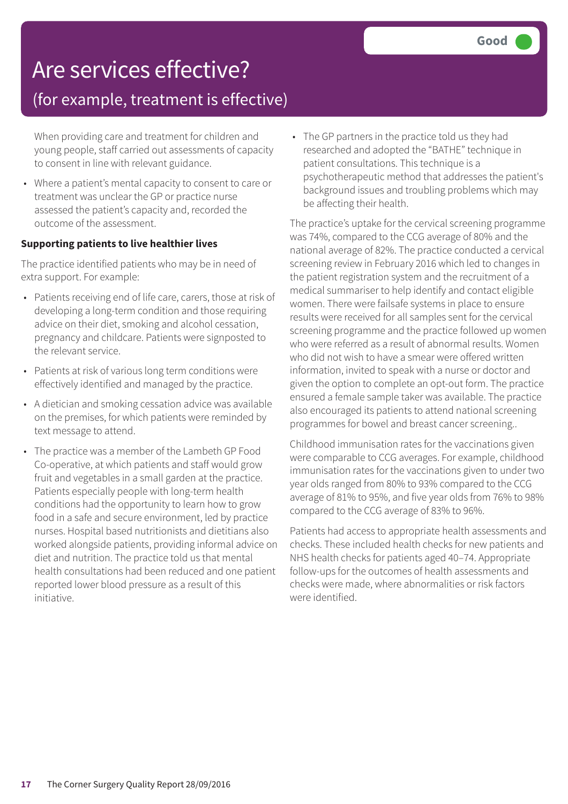### Are services effective?

### (for example, treatment is effective)

When providing care and treatment for children and young people, staff carried out assessments of capacity to consent in line with relevant guidance.

• Where a patient's mental capacity to consent to care or treatment was unclear the GP or practice nurse assessed the patient's capacity and, recorded the outcome of the assessment.

#### **Supporting patients to live healthier lives**

The practice identified patients who may be in need of extra support. For example:

- Patients receiving end of life care, carers, those at risk of developing a long-term condition and those requiring advice on their diet, smoking and alcohol cessation, pregnancy and childcare. Patients were signposted to the relevant service.
- Patients at risk of various long term conditions were effectively identified and managed by the practice.
- A dietician and smoking cessation advice was available on the premises, for which patients were reminded by text message to attend.
- The practice was a member of the Lambeth GP Food Co-operative, at which patients and staff would grow fruit and vegetables in a small garden at the practice. Patients especially people with long-term health conditions had the opportunity to learn how to grow food in a safe and secure environment, led by practice nurses. Hospital based nutritionists and dietitians also worked alongside patients, providing informal advice on diet and nutrition. The practice told us that mental health consultations had been reduced and one patient reported lower blood pressure as a result of this initiative.

• The GP partners in the practice told us they had researched and adopted the "BATHE" technique in patient consultations. This technique is a psychotherapeutic method that addresses the patient's background issues and troubling problems which may be affecting their health.

The practice's uptake for the cervical screening programme was 74%, compared to the CCG average of 80% and the national average of 82%. The practice conducted a cervical screening review in February 2016 which led to changes in the patient registration system and the recruitment of a medical summariser to help identify and contact eligible women. There were failsafe systems in place to ensure results were received for all samples sent for the cervical screening programme and the practice followed up women who were referred as a result of abnormal results. Women who did not wish to have a smear were offered written information, invited to speak with a nurse or doctor and given the option to complete an opt-out form. The practice ensured a female sample taker was available. The practice also encouraged its patients to attend national screening programmes for bowel and breast cancer screening..

Childhood immunisation rates for the vaccinations given were comparable to CCG averages. For example, childhood immunisation rates for the vaccinations given to under two year olds ranged from 80% to 93% compared to the CCG average of 81% to 95%, and five year olds from 76% to 98% compared to the CCG average of 83% to 96%.

Patients had access to appropriate health assessments and checks. These included health checks for new patients and NHS health checks for patients aged 40–74. Appropriate follow-ups for the outcomes of health assessments and checks were made, where abnormalities or risk factors were identified.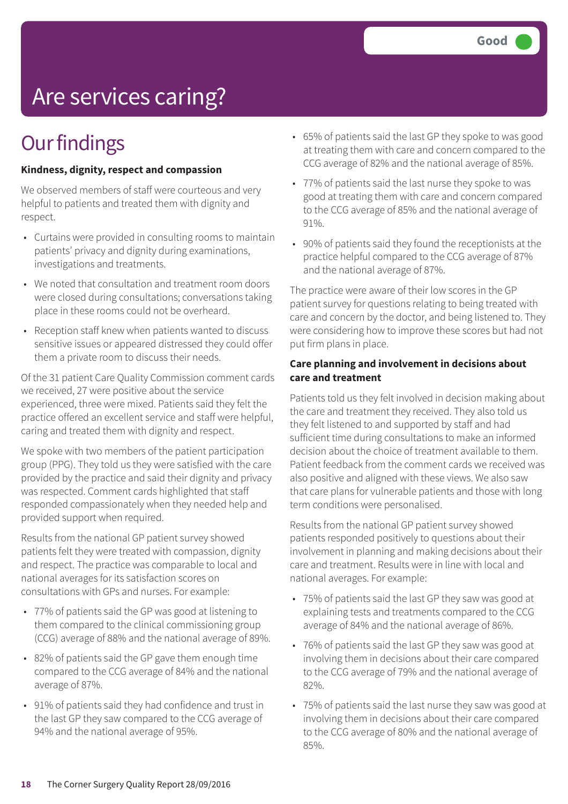# Are services caring?

### **Our findings**

#### **Kindness, dignity, respect and compassion**

We observed members of staff were courteous and very helpful to patients and treated them with dignity and respect.

- Curtains were provided in consulting rooms to maintain patients' privacy and dignity during examinations, investigations and treatments.
- We noted that consultation and treatment room doors were closed during consultations; conversations taking place in these rooms could not be overheard.
- Reception staff knew when patients wanted to discuss sensitive issues or appeared distressed they could offer them a private room to discuss their needs.

Of the 31 patient Care Quality Commission comment cards we received, 27 were positive about the service experienced, three were mixed. Patients said they felt the practice offered an excellent service and staff were helpful, caring and treated them with dignity and respect.

We spoke with two members of the patient participation group (PPG). They told us they were satisfied with the care provided by the practice and said their dignity and privacy was respected. Comment cards highlighted that staff responded compassionately when they needed help and provided support when required.

Results from the national GP patient survey showed patients felt they were treated with compassion, dignity and respect. The practice was comparable to local and national averages for its satisfaction scores on consultations with GPs and nurses. For example:

- 77% of patients said the GP was good at listening to them compared to the clinical commissioning group (CCG) average of 88% and the national average of 89%.
- 82% of patients said the GP gave them enough time compared to the CCG average of 84% and the national average of 87%.
- 91% of patients said they had confidence and trust in the last GP they saw compared to the CCG average of 94% and the national average of 95%.
- 65% of patients said the last GP they spoke to was good at treating them with care and concern compared to the CCG average of 82% and the national average of 85%.
- 77% of patients said the last nurse they spoke to was good at treating them with care and concern compared to the CCG average of 85% and the national average of 91%.
- 90% of patients said they found the receptionists at the practice helpful compared to the CCG average of 87% and the national average of 87%.

The practice were aware of their low scores in the GP patient survey for questions relating to being treated with care and concern by the doctor, and being listened to. They were considering how to improve these scores but had not put firm plans in place.

#### **Care planning and involvement in decisions about care and treatment**

Patients told us they felt involved in decision making about the care and treatment they received. They also told us they felt listened to and supported by staff and had sufficient time during consultations to make an informed decision about the choice of treatment available to them. Patient feedback from the comment cards we received was also positive and aligned with these views. We also saw that care plans for vulnerable patients and those with long term conditions were personalised.

Results from the national GP patient survey showed patients responded positively to questions about their involvement in planning and making decisions about their care and treatment. Results were in line with local and national averages. For example:

- 75% of patients said the last GP they saw was good at explaining tests and treatments compared to the CCG average of 84% and the national average of 86%.
- 76% of patients said the last GP they saw was good at involving them in decisions about their care compared to the CCG average of 79% and the national average of 82%.
- 75% of patients said the last nurse they saw was good at involving them in decisions about their care compared to the CCG average of 80% and the national average of 85%.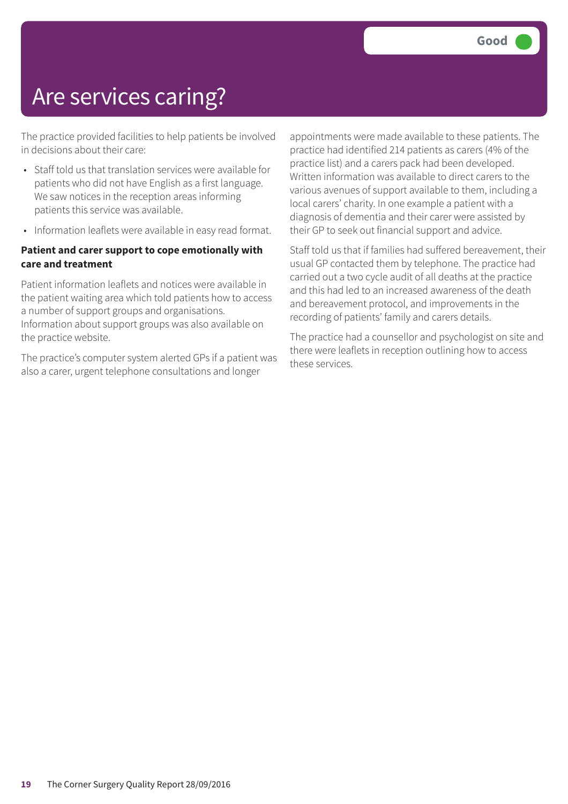### Are services caring?

The practice provided facilities to help patients be involved in decisions about their care:

- Staff told us that translation services were available for patients who did not have English as a first language. We saw notices in the reception areas informing patients this service was available.
- Information leaflets were available in easy read format.

#### **Patient and carer support to cope emotionally with care and treatment**

Patient information leaflets and notices were available in the patient waiting area which told patients how to access a number of support groups and organisations. Information about support groups was also available on the practice website.

The practice's computer system alerted GPs if a patient was also a carer, urgent telephone consultations and longer

appointments were made available to these patients. The practice had identified 214 patients as carers (4% of the practice list) and a carers pack had been developed. Written information was available to direct carers to the various avenues of support available to them, including a local carers' charity. In one example a patient with a diagnosis of dementia and their carer were assisted by their GP to seek out financial support and advice.

Staff told us that if families had suffered bereavement, their usual GP contacted them by telephone. The practice had carried out a two cycle audit of all deaths at the practice and this had led to an increased awareness of the death and bereavement protocol, and improvements in the recording of patients' family and carers details.

The practice had a counsellor and psychologist on site and there were leaflets in reception outlining how to access these services.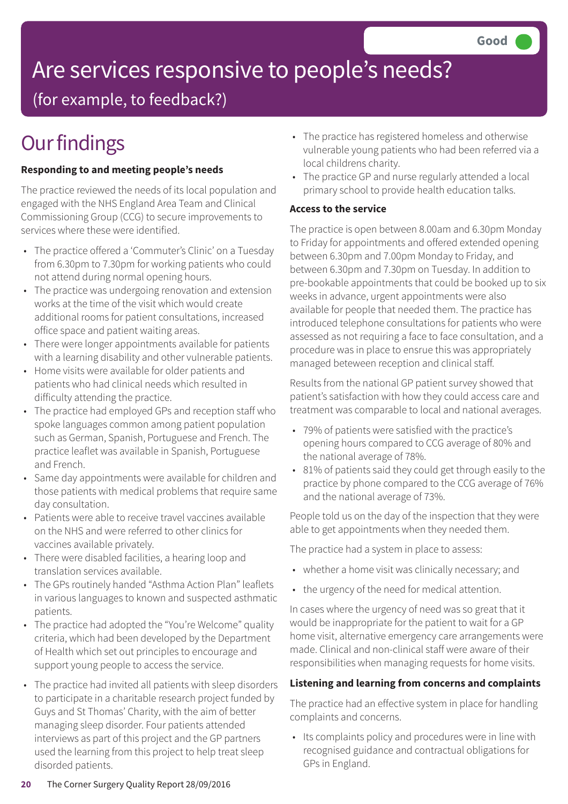# Are services responsive to people's needs?

(for example, to feedback?)

# **Our findings**

#### **Responding to and meeting people's needs**

The practice reviewed the needs of its local population and engaged with the NHS England Area Team and Clinical Commissioning Group (CCG) to secure improvements to services where these were identified.

- The practice offered a 'Commuter's Clinic' on a Tuesday from 6.30pm to 7.30pm for working patients who could not attend during normal opening hours.
- The practice was undergoing renovation and extension works at the time of the visit which would create additional rooms for patient consultations, increased office space and patient waiting areas.
- There were longer appointments available for patients with a learning disability and other vulnerable patients.
- Home visits were available for older patients and patients who had clinical needs which resulted in difficulty attending the practice.
- The practice had employed GPs and reception staff who spoke languages common among patient population such as German, Spanish, Portuguese and French. The practice leaflet was available in Spanish, Portuguese and French.
- Same day appointments were available for children and those patients with medical problems that require same day consultation.
- Patients were able to receive travel vaccines available on the NHS and were referred to other clinics for vaccines available privately.
- There were disabled facilities, a hearing loop and translation services available.
- The GPs routinely handed "Asthma Action Plan" leaflets in various languages to known and suspected asthmatic patients.
- The practice had adopted the "You're Welcome" quality criteria, which had been developed by the Department of Health which set out principles to encourage and support young people to access the service.
- The practice had invited all patients with sleep disorders to participate in a charitable research project funded by Guys and St Thomas' Charity, with the aim of better managing sleep disorder. Four patients attended interviews as part of this project and the GP partners used the learning from this project to help treat sleep disorded patients.
- The practice has registered homeless and otherwise vulnerable young patients who had been referred via a local childrens charity.
- The practice GP and nurse regularly attended a local primary school to provide health education talks.

#### **Access to the service**

The practice is open between 8.00am and 6.30pm Monday to Friday for appointments and offered extended opening between 6.30pm and 7.00pm Monday to Friday, and between 6.30pm and 7.30pm on Tuesday. In addition to pre-bookable appointments that could be booked up to six weeks in advance, urgent appointments were also available for people that needed them. The practice has introduced telephone consultations for patients who were assessed as not requiring a face to face consultation, and a procedure was in place to ensrue this was appropriately managed beteween reception and clinical staff.

Results from the national GP patient survey showed that patient's satisfaction with how they could access care and treatment was comparable to local and national averages.

- 79% of patients were satisfied with the practice's opening hours compared to CCG average of 80% and the national average of 78%.
- 81% of patients said they could get through easily to the practice by phone compared to the CCG average of 76% and the national average of 73%.

People told us on the day of the inspection that they were able to get appointments when they needed them.

The practice had a system in place to assess:

- whether a home visit was clinically necessary; and
- the urgency of the need for medical attention.

In cases where the urgency of need was so great that it would be inappropriate for the patient to wait for a GP home visit, alternative emergency care arrangements were made. Clinical and non-clinical staff were aware of their responsibilities when managing requests for home visits.

#### **Listening and learning from concerns and complaints**

The practice had an effective system in place for handling complaints and concerns.

• Its complaints policy and procedures were in line with recognised guidance and contractual obligations for GPs in England.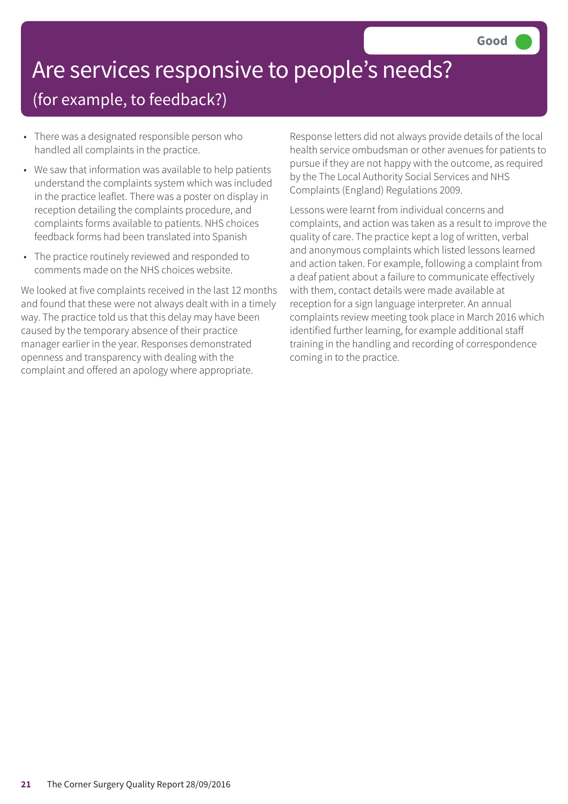### Are services responsive to people's needs? (for example, to feedback?)

- There was a designated responsible person who handled all complaints in the practice.
- We saw that information was available to help patients understand the complaints system which was included in the practice leaflet. There was a poster on display in reception detailing the complaints procedure, and complaints forms available to patients. NHS choices feedback forms had been translated into Spanish
- The practice routinely reviewed and responded to comments made on the NHS choices website.

We looked at five complaints received in the last 12 months and found that these were not always dealt with in a timely way. The practice told us that this delay may have been caused by the temporary absence of their practice manager earlier in the year. Responses demonstrated openness and transparency with dealing with the complaint and offered an apology where appropriate.

Response letters did not always provide details of the local health service ombudsman or other avenues for patients to pursue if they are not happy with the outcome, as required by the The Local Authority Social Services and NHS Complaints (England) Regulations 2009.

Lessons were learnt from individual concerns and complaints, and action was taken as a result to improve the quality of care. The practice kept a log of written, verbal and anonymous complaints which listed lessons learned and action taken. For example, following a complaint from a deaf patient about a failure to communicate effectively with them, contact details were made available at reception for a sign language interpreter. An annual complaints review meeting took place in March 2016 which identified further learning, for example additional staff training in the handling and recording of correspondence coming in to the practice.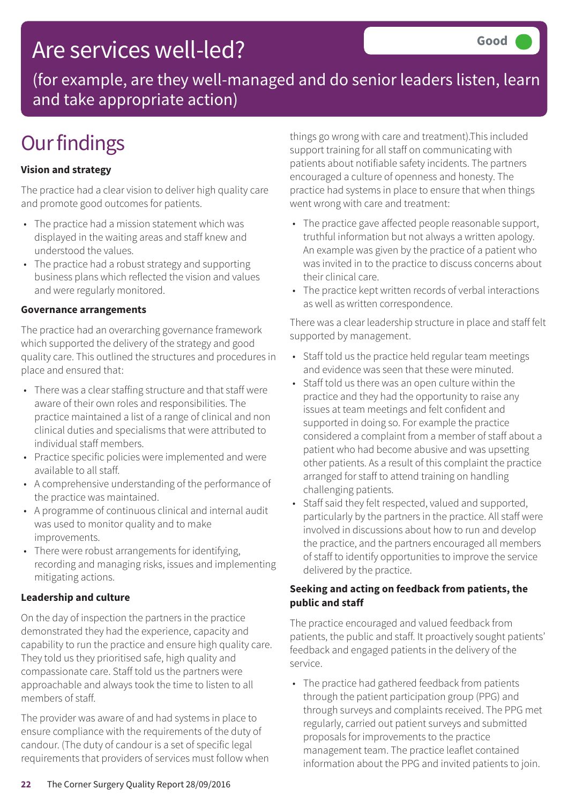### Are services well-led?

(for example, are they well-managed and do senior leaders listen, learn and take appropriate action)

### **Our findings**

#### **Vision and strategy**

The practice had a clear vision to deliver high quality care and promote good outcomes for patients.

- The practice had a mission statement which was displayed in the waiting areas and staff knew and understood the values.
- The practice had a robust strategy and supporting business plans which reflected the vision and values and were regularly monitored.

#### **Governance arrangements**

The practice had an overarching governance framework which supported the delivery of the strategy and good quality care. This outlined the structures and procedures in place and ensured that:

- There was a clear staffing structure and that staff were aware of their own roles and responsibilities. The practice maintained a list of a range of clinical and non clinical duties and specialisms that were attributed to individual staff members.
- Practice specific policies were implemented and were available to all staff.
- A comprehensive understanding of the performance of the practice was maintained.
- A programme of continuous clinical and internal audit was used to monitor quality and to make improvements.
- There were robust arrangements for identifying, recording and managing risks, issues and implementing mitigating actions.

#### **Leadership and culture**

On the day of inspection the partners in the practice demonstrated they had the experience, capacity and capability to run the practice and ensure high quality care. They told us they prioritised safe, high quality and compassionate care. Staff told us the partners were approachable and always took the time to listen to all members of staff.

The provider was aware of and had systems in place to ensure compliance with the requirements of the duty of candour. (The duty of candour is a set of specific legal requirements that providers of services must follow when things go wrong with care and treatment).This included support training for all staff on communicating with patients about notifiable safety incidents. The partners encouraged a culture of openness and honesty. The practice had systems in place to ensure that when things went wrong with care and treatment:

- The practice gave affected people reasonable support, truthful information but not always a written apology. An example was given by the practice of a patient who was invited in to the practice to discuss concerns about their clinical care.
- The practice kept written records of verbal interactions as well as written correspondence.

There was a clear leadership structure in place and staff felt supported by management.

- Staff told us the practice held regular team meetings and evidence was seen that these were minuted.
- Staff told us there was an open culture within the practice and they had the opportunity to raise any issues at team meetings and felt confident and supported in doing so. For example the practice considered a complaint from a member of staff about a patient who had become abusive and was upsetting other patients. As a result of this complaint the practice arranged for staff to attend training on handling challenging patients.
- Staff said they felt respected, valued and supported, particularly by the partners in the practice. All staff were involved in discussions about how to run and develop the practice, and the partners encouraged all members of staff to identify opportunities to improve the service delivered by the practice.

#### **Seeking and acting on feedback from patients, the public and staff**

The practice encouraged and valued feedback from patients, the public and staff. It proactively sought patients' feedback and engaged patients in the delivery of the service.

• The practice had gathered feedback from patients through the patient participation group (PPG) and through surveys and complaints received. The PPG met regularly, carried out patient surveys and submitted proposals for improvements to the practice management team. The practice leaflet contained information about the PPG and invited patients to join.